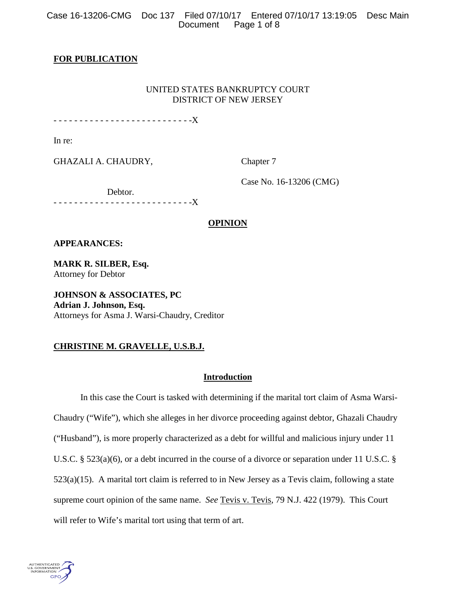Case 16-13206-CMG Doc 137 Filed 07/10/17 Entered 07/10/17 13:19:05 Desc Main Page 1 of 8

# **FOR PUBLICATION**

# UNITED STATES BANKRUPTCY COURT DISTRICT OF NEW JERSEY

- - - - - - - - - - - - - - - - - - - - - - - - - - -X

In re:

GHAZALI A. CHAUDRY, Chapter 7

Case No. 16-13206 (CMG)

Debtor.

- - - - - - - - - - - - - - - - - - - - - - - - - - -X

# **OPINION**

# **APPEARANCES:**

**MARK R. SILBER, Esq.** Attorney for Debtor

**JOHNSON & ASSOCIATES, PC Adrian J. Johnson, Esq.**  Attorneys for Asma J. Warsi-Chaudry, Creditor

# **CHRISTINE M. GRAVELLE, U.S.B.J.**

# **Introduction**

In this case the Court is tasked with determining if the marital tort claim of Asma Warsi-Chaudry ("Wife"), which she alleges in her divorce proceeding against debtor, Ghazali Chaudry ("Husband"), is more properly characterized as a debt for willful and malicious injury under 11 U.S.C. § 523(a)(6), or a debt incurred in the course of a divorce or separation under 11 U.S.C. § 523(a)(15). A marital tort claim is referred to in New Jersey as a Tevis claim, following a state supreme court opinion of the same name. *See* Tevis v. Tevis, 79 N.J. 422 (1979). This Court will refer to Wife's marital tort using that term of art.

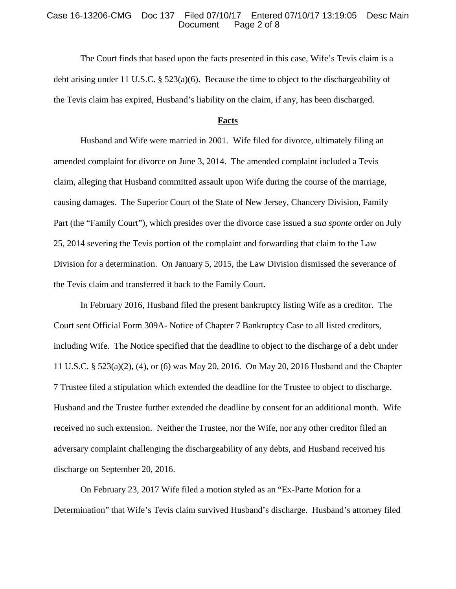## Case 16-13206-CMG Doc 137 Filed 07/10/17 Entered 07/10/17 13:19:05 Desc Main Page 2 of 8

The Court finds that based upon the facts presented in this case, Wife's Tevis claim is a debt arising under 11 U.S.C. § 523(a)(6). Because the time to object to the dischargeability of the Tevis claim has expired, Husband's liability on the claim, if any, has been discharged.

### **Facts**

Husband and Wife were married in 2001. Wife filed for divorce, ultimately filing an amended complaint for divorce on June 3, 2014. The amended complaint included a Tevis claim, alleging that Husband committed assault upon Wife during the course of the marriage, causing damages. The Superior Court of the State of New Jersey, Chancery Division, Family Part (the "Family Court"), which presides over the divorce case issued a *sua sponte* order on July 25, 2014 severing the Tevis portion of the complaint and forwarding that claim to the Law Division for a determination. On January 5, 2015, the Law Division dismissed the severance of the Tevis claim and transferred it back to the Family Court.

In February 2016, Husband filed the present bankruptcy listing Wife as a creditor. The Court sent Official Form 309A- Notice of Chapter 7 Bankruptcy Case to all listed creditors, including Wife. The Notice specified that the deadline to object to the discharge of a debt under 11 U.S.C. § 523(a)(2), (4), or (6) was May 20, 2016. On May 20, 2016 Husband and the Chapter 7 Trustee filed a stipulation which extended the deadline for the Trustee to object to discharge. Husband and the Trustee further extended the deadline by consent for an additional month. Wife received no such extension. Neither the Trustee, nor the Wife, nor any other creditor filed an adversary complaint challenging the dischargeability of any debts, and Husband received his discharge on September 20, 2016.

On February 23, 2017 Wife filed a motion styled as an "Ex-Parte Motion for a Determination" that Wife's Tevis claim survived Husband's discharge. Husband's attorney filed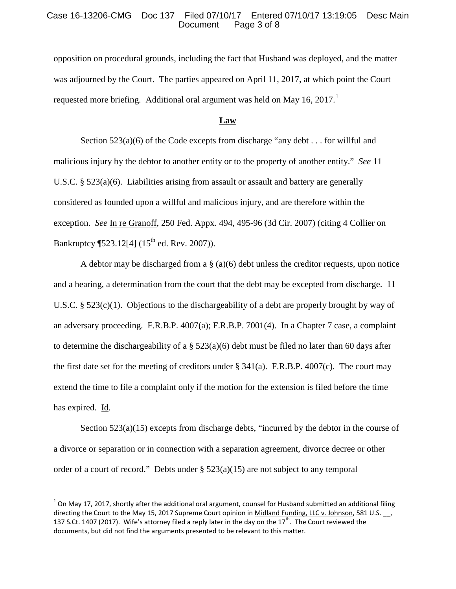## Case 16-13206-CMG Doc 137 Filed 07/10/17 Entered 07/10/17 13:19:05 Desc Main Page 3 of 8

opposition on procedural grounds, including the fact that Husband was deployed, and the matter was adjourned by the Court. The parties appeared on April 11, 2017, at which point the Court requested more briefing. Additional oral argument was held on May [1](#page-2-0)6, 2017.<sup>1</sup>

## **Law**

Section  $523(a)(6)$  of the Code excepts from discharge "any debt . . . for will ful and malicious injury by the debtor to another entity or to the property of another entity." *See* 11 U.S.C.  $\S 523(a)(6)$ . Liabilities arising from assault or assault and battery are generally considered as founded upon a willful and malicious injury, and are therefore within the exception. *See* In re Granoff, 250 Fed. Appx. 494, 495-96 (3d Cir. 2007) (citing 4 Collier on Bankruptcy ¶523.12[4] (15<sup>th</sup> ed. Rev. 2007)).

A debtor may be discharged from a  $\S$  (a)(6) debt unless the creditor requests, upon notice and a hearing, a determination from the court that the debt may be excepted from discharge. 11 U.S.C. § 523(c)(1). Objections to the dischargeability of a debt are properly brought by way of an adversary proceeding. F.R.B.P. 4007(a); F.R.B.P. 7001(4). In a Chapter 7 case, a complaint to determine the dischargeability of a  $\S$  523(a)(6) debt must be filed no later than 60 days after the first date set for the meeting of creditors under  $\S$  341(a). F.R.B.P. 4007(c). The court may extend the time to file a complaint only if the motion for the extension is filed before the time has expired. Id*.*

Section 523(a)(15) excepts from discharge debts, "incurred by the debtor in the course of a divorce or separation or in connection with a separation agreement, divorce decree or other order of a court of record." Debts under § 523(a)(15) are not subject to any temporal

<span id="page-2-0"></span> $1$  On May 17, 2017, shortly after the additional oral argument, counsel for Husband submitted an additional filing directing the Court to the May 15, 2017 Supreme Court opinion in Midland Funding, LLC v. Johnson, 581 U.S. 137 S.Ct. 1407 (2017). Wife's attorney filed a reply later in the day on the  $17<sup>th</sup>$ . The Court reviewed the documents, but did not find the arguments presented to be relevant to this matter.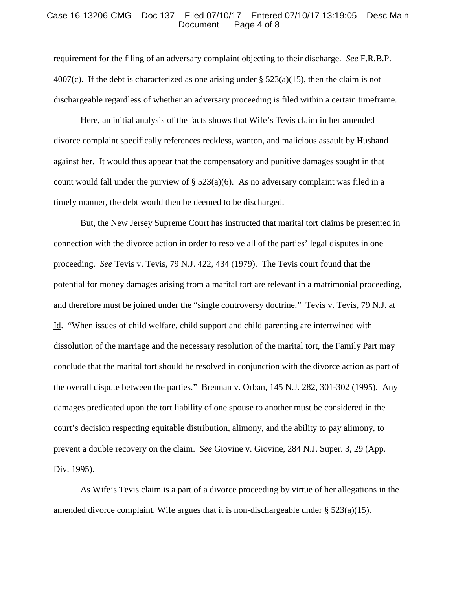#### Case 16-13206-CMG Doc 137 Filed 07/10/17 Entered 07/10/17 13:19:05 Desc Main Page 4 of 8

requirement for the filing of an adversary complaint objecting to their discharge. *See* F.R.B.P. 4007(c). If the debt is characterized as one arising under  $\S 523(a)(15)$ , then the claim is not dischargeable regardless of whether an adversary proceeding is filed within a certain timeframe.

Here, an initial analysis of the facts shows that Wife's Tevis claim in her amended divorce complaint specifically references reckless, wanton, and malicious assault by Husband against her. It would thus appear that the compensatory and punitive damages sought in that count would fall under the purview of  $\S$  523(a)(6). As no adversary complaint was filed in a timely manner, the debt would then be deemed to be discharged.

But, the New Jersey Supreme Court has instructed that marital tort claims be presented in connection with the divorce action in order to resolve all of the parties' legal disputes in one proceeding. *See* Tevis v. Tevis, 79 N.J. 422, 434 (1979). The Tevis court found that the potential for money damages arising from a marital tort are relevant in a matrimonial proceeding, and therefore must be joined under the "single controversy doctrine." Tevis v. Tevis, 79 N.J. at Id. "When issues of child welfare, child support and child parenting are intertwined with dissolution of the marriage and the necessary resolution of the marital tort, the Family Part may conclude that the marital tort should be resolved in conjunction with the divorce action as part of the overall dispute between the parties." Brennan v. Orban, 145 N.J. 282, 301-302 (1995). Any damages predicated upon the tort liability of one spouse to another must be considered in the court's decision respecting equitable distribution, alimony, and the ability to pay alimony, to prevent a double recovery on the claim. *See* Giovine v. Giovine, 284 N.J. Super. 3, 29 (App. Div. 1995).

As Wife's Tevis claim is a part of a divorce proceeding by virtue of her allegations in the amended divorce complaint, Wife argues that it is non-dischargeable under  $\S 523(a)(15)$ .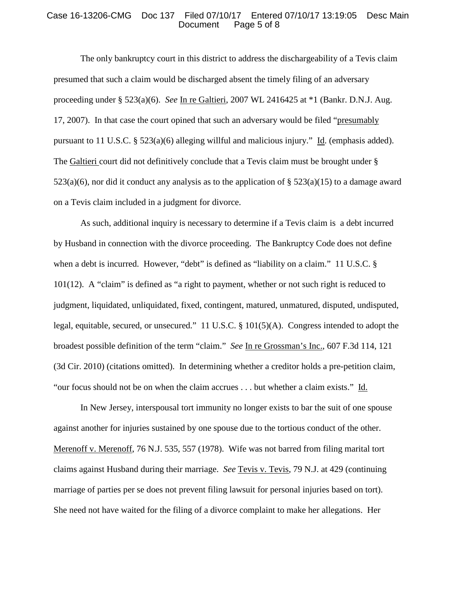#### Case 16-13206-CMG Doc 137 Filed 07/10/17 Entered 07/10/17 13:19:05 Desc Main Page 5 of 8

The only bankruptcy court in this district to address the dischargeability of a Tevis claim presumed that such a claim would be discharged absent the timely filing of an adversary proceeding under § 523(a)(6). *See* In re Galtieri, 2007 WL 2416425 at \*1 (Bankr. D.N.J. Aug. 17, 2007). In that case the court opined that such an adversary would be filed "presumably pursuant to 11 U.S.C. § 523(a)(6) alleging willful and malicious injury." Id. (emphasis added). The Galtieri court did not definitively conclude that a Tevis claim must be brought under §  $523(a)(6)$ , nor did it conduct any analysis as to the application of §  $523(a)(15)$  to a damage award on a Tevis claim included in a judgment for divorce.

As such, additional inquiry is necessary to determine if a Tevis claim is a debt incurred by Husband in connection with the divorce proceeding. The Bankruptcy Code does not define when a debt is incurred. However, "debt" is defined as "liability on a claim." 11 U.S.C. § 101(12). A "claim" is defined as "a right to payment, whether or not such right is reduced to judgment, liquidated, unliquidated, fixed, contingent, matured, unmatured, disputed, undisputed, legal, equitable, secured, or unsecured." 11 U.S.C. § 101(5)(A). Congress intended to adopt the broadest possible definition of the term "claim." *See* In re Grossman's Inc., 607 F.3d 114, 121 (3d Cir. 2010) (citations omitted). In determining whether a creditor holds a pre-petition claim, "our focus should not be on when the claim accrues . . . but whether a claim exists." Id.

In New Jersey, interspousal tort immunity no longer exists to bar the suit of one spouse against another for injuries sustained by one spouse due to the tortious conduct of the other. Merenoff v. Merenoff, 76 N.J. 535, 557 (1978). Wife was not barred from filing marital tort claims against Husband during their marriage. *See* Tevis v. Tevis, 79 N.J. at 429 (continuing marriage of parties per se does not prevent filing lawsuit for personal injuries based on tort). She need not have waited for the filing of a divorce complaint to make her allegations. Her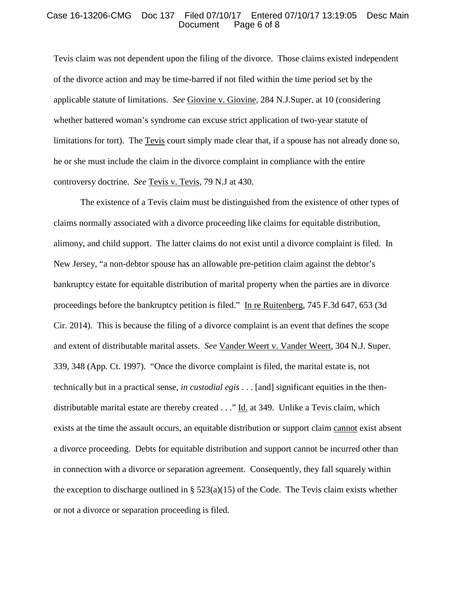#### Case 16-13206-CMG Doc 137 Filed 07/10/17 Entered 07/10/17 13:19:05 Desc Main Page 6 of 8

Tevis claim was not dependent upon the filing of the divorce. Those claims existed independent of the divorce action and may be time-barred if not filed within the time period set by the applicable statute of limitations. *See* Giovine v. Giovine, 284 N.J.Super. at 10 (considering whether battered woman's syndrome can excuse strict application of two-year statute of limitations for tort). The Tevis court simply made clear that, if a spouse has not already done so, he or she must include the claim in the divorce complaint in compliance with the entire controversy doctrine. *See* Tevis v. Tevis, 79 N.J at 430.

The existence of a Tevis claim must be distinguished from the existence of other types of claims normally associated with a divorce proceeding like claims for equitable distribution, alimony, and child support. The latter claims do not exist until a divorce complaint is filed. In New Jersey, "a non-debtor spouse has an allowable pre-petition claim against the debtor's bankruptcy estate for equitable distribution of marital property when the parties are in divorce proceedings before the bankruptcy petition is filed." In re Ruitenberg, 745 F.3d 647, 653 (3d Cir. 2014). This is because the filing of a divorce complaint is an event that defines the scope and extent of distributable marital assets. *See* Vander Weert v. Vander Weert, 304 N.J. Super. 339, 348 (App. Ct. 1997). "Once the divorce complaint is filed, the marital estate is, not technically but in a practical sense, *in custodial egis* . . . [and] significant equities in the thendistributable marital estate are thereby created . . ." Id. at 349. Unlike a Tevis claim, which exists at the time the assault occurs, an equitable distribution or support claim cannot exist absent a divorce proceeding. Debts for equitable distribution and support cannot be incurred other than in connection with a divorce or separation agreement. Consequently, they fall squarely within the exception to discharge outlined in  $\S$  523(a)(15) of the Code. The Tevis claim exists whether or not a divorce or separation proceeding is filed.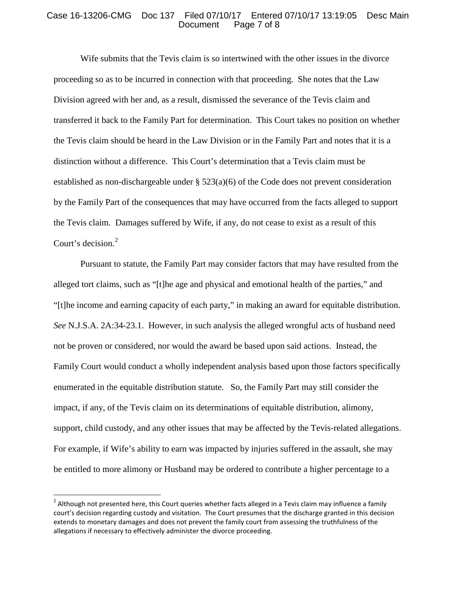## Case 16-13206-CMG Doc 137 Filed 07/10/17 Entered 07/10/17 13:19:05 Desc Main Page 7 of 8

Wife submits that the Tevis claim is so intertwined with the other issues in the divorce proceeding so as to be incurred in connection with that proceeding. She notes that the Law Division agreed with her and, as a result, dismissed the severance of the Tevis claim and transferred it back to the Family Part for determination. This Court takes no position on whether the Tevis claim should be heard in the Law Division or in the Family Part and notes that it is a distinction without a difference. This Court's determination that a Tevis claim must be established as non-dischargeable under § 523(a)(6) of the Code does not prevent consideration by the Family Part of the consequences that may have occurred from the facts alleged to support the Tevis claim. Damages suffered by Wife, if any, do not cease to exist as a result of this Court's decision.<sup>[2](#page-6-0)</sup>

Pursuant to statute, the Family Part may consider factors that may have resulted from the alleged tort claims, such as "[t]he age and physical and emotional health of the parties," and "[t]he income and earning capacity of each party," in making an award for equitable distribution. *See* N.J.S.A. 2A:34-23.1. However, in such analysis the alleged wrongful acts of husband need not be proven or considered, nor would the award be based upon said actions. Instead, the Family Court would conduct a wholly independent analysis based upon those factors specifically enumerated in the equitable distribution statute. So, the Family Part may still consider the impact, if any, of the Tevis claim on its determinations of equitable distribution, alimony, support, child custody, and any other issues that may be affected by the Tevis-related allegations. For example, if Wife's ability to earn was impacted by injuries suffered in the assault, she may be entitled to more alimony or Husband may be ordered to contribute a higher percentage to a

<span id="page-6-0"></span> $2$  Although not presented here, this Court queries whether facts alleged in a Tevis claim may influence a family court's decision regarding custody and visitation. The Court presumes that the discharge granted in this decision extends to monetary damages and does not prevent the family court from assessing the truthfulness of the allegations if necessary to effectively administer the divorce proceeding.